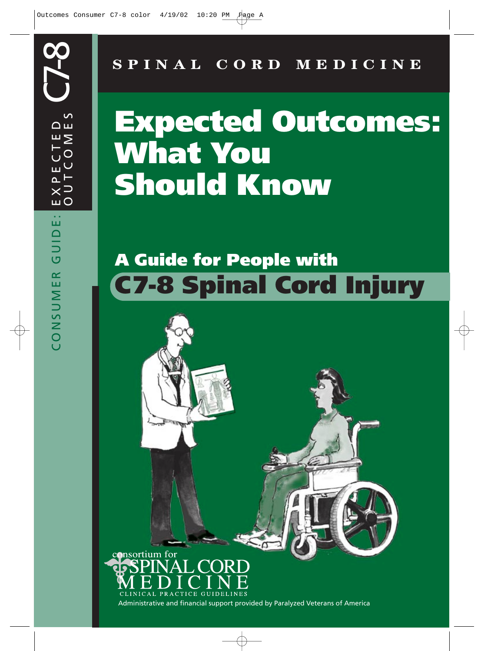**SPINAL CORD MEDICINE**

# **Expected Outcomes: What You Should Know**

## **A Guide for People with C7-8 Spinal Cord Injury**

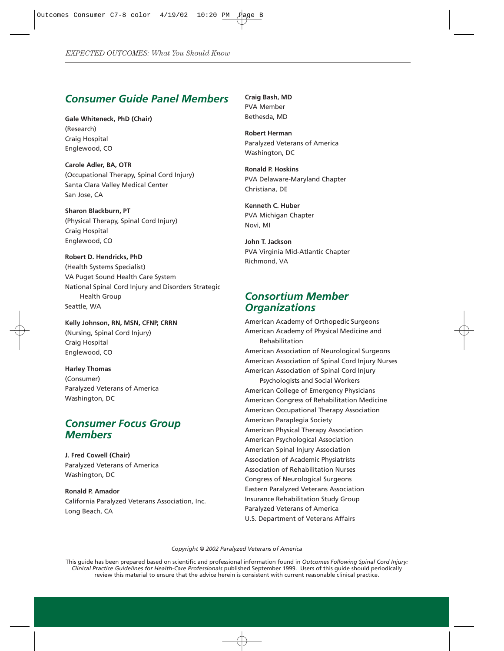## *Consumer Guide Panel Members*

**Gale Whiteneck, PhD (Chair)** (Research) Craig Hospital Englewood, CO

**Carole Adler, BA, OTR** (Occupational Therapy, Spinal Cord Injury) Santa Clara Valley Medical Center San Jose, CA

**Sharon Blackburn, PT** (Physical Therapy, Spinal Cord Injury) Craig Hospital Englewood, CO

**Robert D. Hendricks, PhD** (Health Systems Specialist) VA Puget Sound Health Care System National Spinal Cord Injury and Disorders Strategic Health Group Seattle, WA

**Kelly Johnson, RN, MSN, CFNP, CRRN** (Nursing, Spinal Cord Injury) Craig Hospital Englewood, CO

**Harley Thomas** (Consumer) Paralyzed Veterans of America Washington, DC

## *Consumer Focus Group Members*

**J. Fred Cowell (Chair)** Paralyzed Veterans of America Washington, DC

**Ronald P. Amador** California Paralyzed Veterans Association, Inc. Long Beach, CA

**Craig Bash, MD** PVA Member Bethesda, MD

**Robert Herman** Paralyzed Veterans of America Washington, DC

**Ronald P. Hoskins** PVA Delaware-Maryland Chapter Christiana, DE

**Kenneth C. Huber** PVA Michigan Chapter Novi, MI

**John T. Jackson** PVA Virginia Mid-Atlantic Chapter Richmond, VA

## *Consortium Member Organizations*

American Academy of Orthopedic Surgeons American Academy of Physical Medicine and Rehabilitation American Association of Neurological Surgeons American Association of Spinal Cord Injury Nurses American Association of Spinal Cord Injury Psychologists and Social Workers American College of Emergency Physicians American Congress of Rehabilitation Medicine American Occupational Therapy Association American Paraplegia Society American Physical Therapy Association American Psychological Association American Spinal Injury Association Association of Academic Physiatrists Association of Rehabilitation Nurses Congress of Neurological Surgeons Eastern Paralyzed Veterans Association Insurance Rehabilitation Study Group Paralyzed Veterans of America U.S. Department of Veterans Affairs

*Copyright © 2002 Paralyzed Veterans of America*

This guide has been prepared based on scientific and professional information found in *Outcomes Following Spinal Cord Injury: Clinical Practice Guidelines for Health-Care Professionals* published September 1999. Users of this guide should periodically review this material to ensure that the advice herein is consistent with current reasonable clinical practice.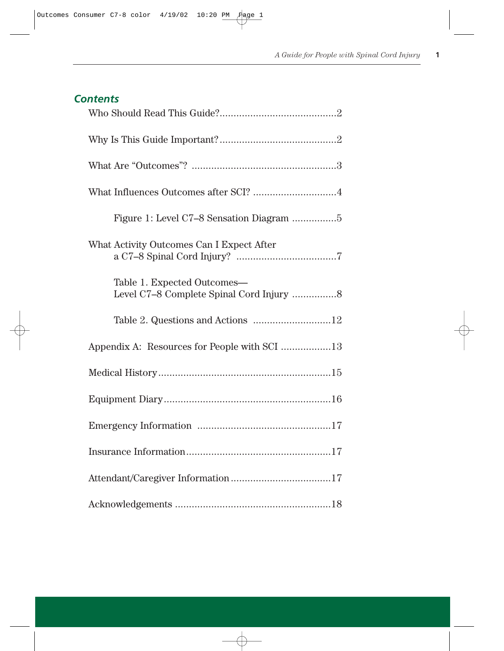## *Contents*

| Figure 1: Level C7-8 Sensation Diagram 5                                |
|-------------------------------------------------------------------------|
| What Activity Outcomes Can I Expect After                               |
| Table 1. Expected Outcomes-<br>Level C7-8 Complete Spinal Cord Injury 8 |
| Table 2. Questions and Actions 12                                       |
| Appendix A: Resources for People with SCI 13                            |
|                                                                         |
|                                                                         |
|                                                                         |
|                                                                         |
|                                                                         |
|                                                                         |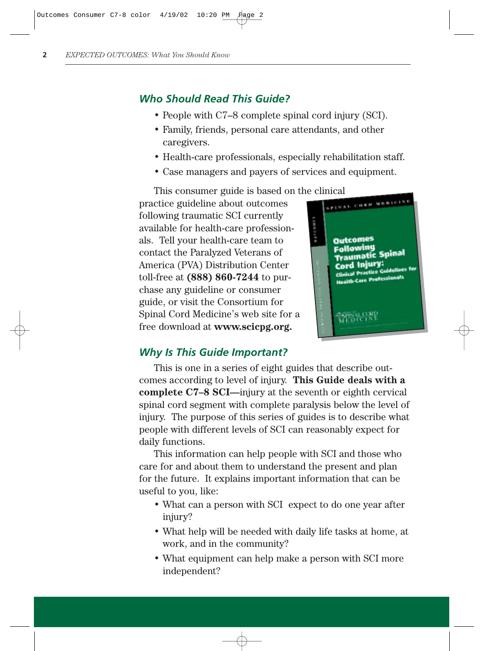## *Who Should Read This Guide?*

- People with C7–8 complete spinal cord injury (SCI).
- Family, friends, personal care attendants, and other caregivers.
- Health-care professionals, especially rehabilitation staff.
- Case managers and payers of services and equipment.

This consumer guide is based on the clinical<br>ctice guideline about outcomes practice guideline about outcomes following traumatic SCI currently available for health-care professionals. Tell your health-care team to contact the Paralyzed Veterans of America (PVA) Distribution Center toll-free at **(888) 860-7244** to purchase any guideline or consumer guide, or visit the Consortium for Spinal Cord Medicine's web site for a free download at **www.scicpg.org.**



#### *Why Is This Guide Important?*

This is one in a series of eight guides that describe outcomes according to level of injury. **This Guide deals with a complete C7–8 SCI—**injury at the seventh or eighth cervical spinal cord segment with complete paralysis below the level of injury. The purpose of this series of guides is to describe what people with different levels of SCI can reasonably expect for daily functions.

This information can help people with SCI and those who care for and about them to understand the present and plan for the future. It explains important information that can be useful to you, like:

- What can a person with SCI expect to do one year after injury?
- What help will be needed with daily life tasks at home, at work, and in the community?
- What equipment can help make a person with SCI more independent?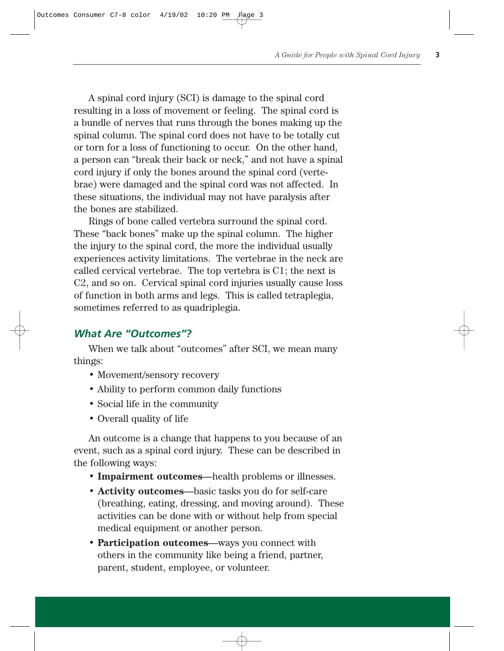A spinal cord injury (SCI) is damage to the spinal cord resulting in a loss of movement or feeling. The spinal cord is a bundle of nerves that runs through the bones making up the spinal column. The spinal cord does not have to be totally cut or torn for a loss of functioning to occur. On the other hand, a person can "break their back or neck," and not have a spinal cord injury if only the bones around the spinal cord (vertebrae) were damaged and the spinal cord was not affected. In these situations, the individual may not have paralysis after the bones are stabilized.

Rings of bone called vertebra surround the spinal cord. These "back bones" make up the spinal column. The higher the injury to the spinal cord, the more the individual usually experiences activity limitations. The vertebrae in the neck are called cervical vertebrae. The top vertebra is C1; the next is C2, and so on. Cervical spinal cord injuries usually cause loss of function in both arms and legs. This is called tetraplegia, sometimes referred to as quadriplegia.

## *What Are "Outcomes"?*

When we talk about "outcomes" after SCI, we mean many things:

- Movement/sensory recovery
- Ability to perform common daily functions
- Social life in the community
- Overall quality of life

An outcome is a change that happens to you because of an event, such as a spinal cord injury. These can be described in the following ways:

- **Impairment outcomes**—health problems or illnesses.
- **Activity outcomes**—basic tasks you do for self-care (breathing, eating, dressing, and moving around). These activities can be done with or without help from special medical equipment or another person.
- **Participation outcomes**—ways you connect with others in the community like being a friend, partner, parent, student, employee, or volunteer.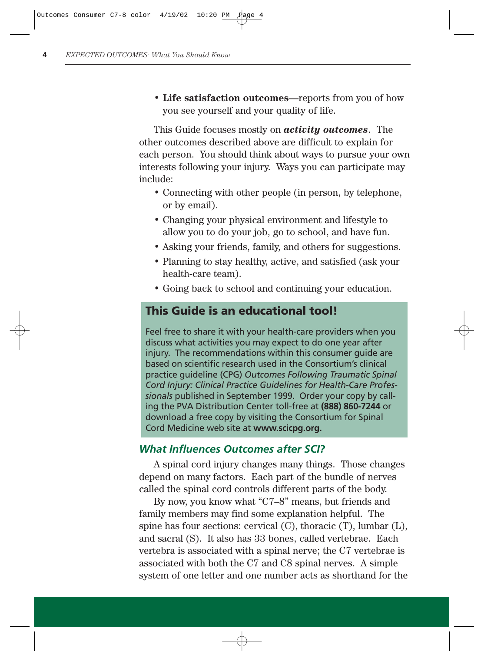• **Life satisfaction outcomes**—reports from you of how you see yourself and your quality of life.

This Guide focuses mostly on *activity outcomes*. The other outcomes described above are difficult to explain for each person. You should think about ways to pursue your own interests following your injury. Ways you can participate may include:

- Connecting with other people (in person, by telephone, or by email).
- Changing your physical environment and lifestyle to allow you to do your job, go to school, and have fun.
- Asking your friends, family, and others for suggestions.
- Planning to stay healthy, active, and satisfied (ask your health-care team).
- Going back to school and continuing your education.

## **This Guide is an educational tool!**

Feel free to share it with your health-care providers when you discuss what activities you may expect to do one year after injury. The recommendations within this consumer guide are based on scientific research used in the Consortium's clinical practice guideline (CPG) *Outcomes Following Traumatic Spinal Cord Injury: Clinical Practice Guidelines for Health-Care Professionals* published in September 1999. Order your copy by calling the PVA Distribution Center toll-free at **(888) 860-7244** or download a free copy by visiting the Consortium for Spinal Cord Medicine web site at **www.scicpg.org.**

#### *What Influences Outcomes after SCI?*

A spinal cord injury changes many things. Those changes depend on many factors. Each part of the bundle of nerves called the spinal cord controls different parts of the body.

By now, you know what "C7–8" means, but friends and family members may find some explanation helpful. The spine has four sections: cervical (C), thoracic (T), lumbar (L), and sacral (S). It also has 33 bones, called vertebrae. Each vertebra is associated with a spinal nerve; the C7 vertebrae is associated with both the C7 and C8 spinal nerves. A simple system of one letter and one number acts as shorthand for the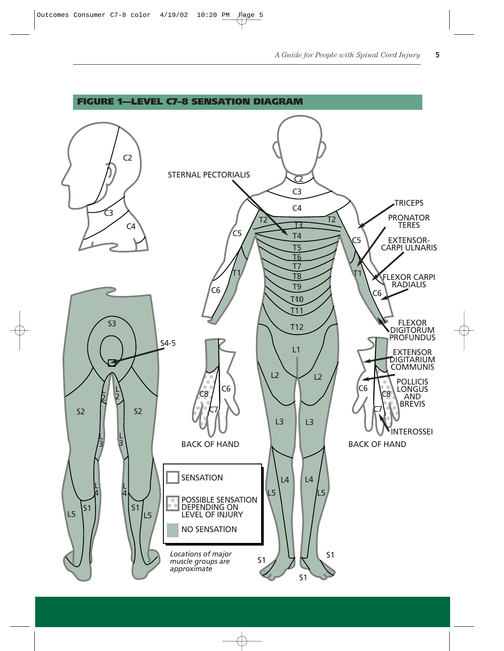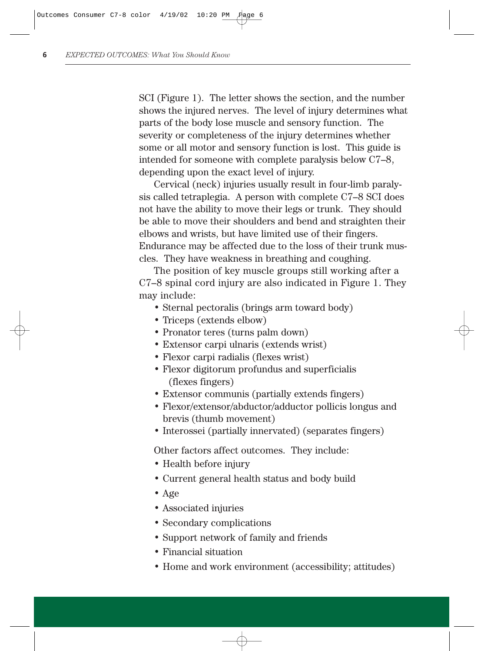SCI (Figure 1). The letter shows the section, and the number shows the injured nerves. The level of injury determines what parts of the body lose muscle and sensory function. The severity or completeness of the injury determines whether some or all motor and sensory function is lost. This guide is intended for someone with complete paralysis below C7–8, depending upon the exact level of injury.

Cervical (neck) injuries usually result in four-limb paralysis called tetraplegia. A person with complete C7–8 SCI does not have the ability to move their legs or trunk. They should be able to move their shoulders and bend and straighten their elbows and wrists, but have limited use of their fingers. Endurance may be affected due to the loss of their trunk muscles. They have weakness in breathing and coughing.

The position of key muscle groups still working after a C7–8 spinal cord injury are also indicated in Figure 1. They may include:

- Sternal pectoralis (brings arm toward body)
- Triceps (extends elbow)
- Pronator teres (turns palm down)
- Extensor carpi ulnaris (extends wrist)
- Flexor carpi radialis (flexes wrist)
- Flexor digitorum profundus and superficialis (flexes fingers)
- Extensor communis (partially extends fingers)
- Flexor/extensor/abductor/adductor pollicis longus and brevis (thumb movement)
- Interossei (partially innervated) (separates fingers)

Other factors affect outcomes. They include:

- Health before injury
- Current general health status and body build
- Age
- Associated injuries
- Secondary complications
- Support network of family and friends
- Financial situation
- Home and work environment (accessibility; attitudes)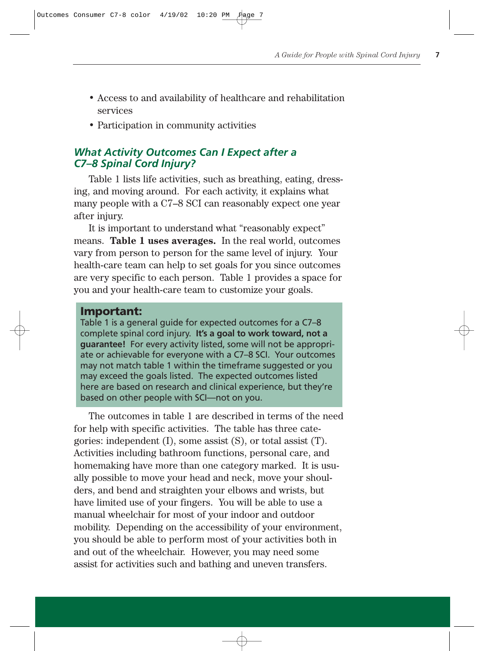- Access to and availability of healthcare and rehabilitation services
- Participation in community activities

## *What Activity Outcomes Can I Expect after a C7–8 Spinal Cord Injury?*

Table 1 lists life activities, such as breathing, eating, dressing, and moving around. For each activity, it explains what many people with a C7–8 SCI can reasonably expect one year after injury.

It is important to understand what "reasonably expect" means. **Table 1 uses averages.** In the real world, outcomes vary from person to person for the same level of injury. Your health-care team can help to set goals for you since outcomes are very specific to each person. Table 1 provides a space for you and your health-care team to customize your goals.

#### **Important:**

Table 1 is a general guide for expected outcomes for a C7–8 complete spinal cord injury. **It's a goal to work toward, not a guarantee!** For every activity listed, some will not be appropriate or achievable for everyone with a C7–8 SCI. Your outcomes may not match table 1 within the timeframe suggested or you may exceed the goals listed. The expected outcomes listed here are based on research and clinical experience, but they're based on other people with SCI—not on you.

The outcomes in table 1 are described in terms of the need for help with specific activities. The table has three categories: independent (I), some assist (S), or total assist (T). Activities including bathroom functions, personal care, and homemaking have more than one category marked. It is usually possible to move your head and neck, move your shoulders, and bend and straighten your elbows and wrists, but have limited use of your fingers. You will be able to use a manual wheelchair for most of your indoor and outdoor mobility. Depending on the accessibility of your environment, you should be able to perform most of your activities both in and out of the wheelchair. However, you may need some assist for activities such and bathing and uneven transfers.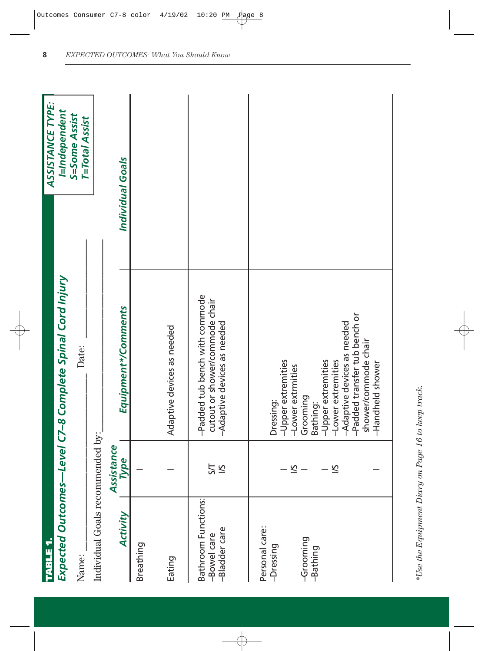| <b>TABLE</b>                                        |                |                                                                                                          | ASSISTANCE TYPE:                       |
|-----------------------------------------------------|----------------|----------------------------------------------------------------------------------------------------------|----------------------------------------|
|                                                     |                | Expected Outcomes-Level C7-8 Complete Spinal Cord Injury                                                 | I=Independent                          |
| Name:                                               |                | Date:                                                                                                    | S=Some Assist<br><b>T=Total Assist</b> |
| Individual Goals recommended by:                    |                |                                                                                                          |                                        |
|                                                     | Assistance     |                                                                                                          |                                        |
| Activity                                            | Type           | Equipment*/Comments                                                                                      | Individual Goals                       |
| Breathing                                           |                |                                                                                                          |                                        |
| Eating                                              |                | Adaptive devices as needed                                                                               |                                        |
| Bathroom Functions:<br>-Bladder care<br>-Bowel care | 5<br>ΣÎ        | -Padded tub bench with commode<br>cutout or shower/commode chair<br>-Adaptive devices as needed          |                                        |
| Personal care:<br>-Dressing                         |                | -Upper extremities<br>-Lower extrmities<br>Dressing:                                                     |                                        |
| -Grooming<br>-Bathing                               | $\leq -$<br>51 | -Lower extremities<br>-Upper extremities<br>Grooming<br>Bathing:                                         |                                        |
|                                                     |                | -Padded transfer tub bench or<br>-Adaptive devices as needed<br>shower/commode chair<br>-Handheld shower |                                        |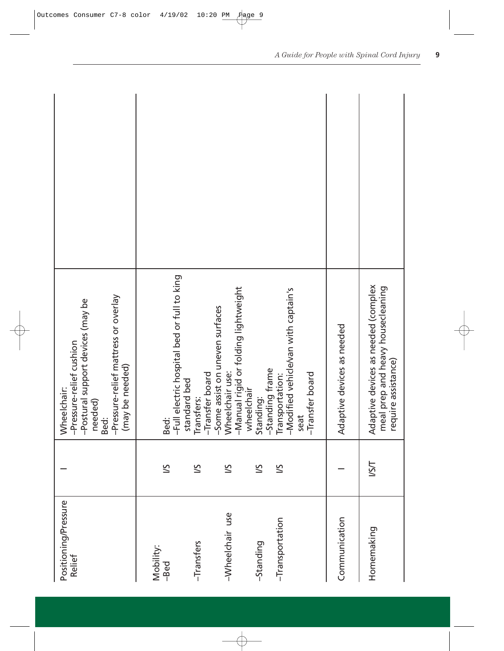| Positioning/Pressure<br>Relief |      | -Pressure-relief mattress or overlay<br>-Postural support devices (may be<br>-Pressure-relief cushion<br>(may be needed)<br>Wheelchair:<br>needed)<br>Bed: |  |
|--------------------------------|------|------------------------------------------------------------------------------------------------------------------------------------------------------------|--|
| Mobility:<br>-Bed              | 5/   | -Full electric hospital bed or full to king<br>standard bed<br>Bed:                                                                                        |  |
| -Transfers                     | 5/   | -Transfer board<br>Transfers:                                                                                                                              |  |
| -Wheelchair use                | 5/   | -Manual rigid or folding lightweight<br>-Some assist on uneven surfaces<br>Wheelchair use:<br>wheelchair                                                   |  |
| -Standing                      | 5/   | -Standing frame<br>Standing:                                                                                                                               |  |
| -Transportation                | 5/   | -Modified vehicle/van with captain's<br>-Transfer board<br>Transportation:<br>seat                                                                         |  |
| Communication                  |      | Adaptive devices as needed                                                                                                                                 |  |
| Homemaking                     | ISSI | Adaptive devices as needed (complex<br>meal prep and heavy housecleaning<br>require assistance)                                                            |  |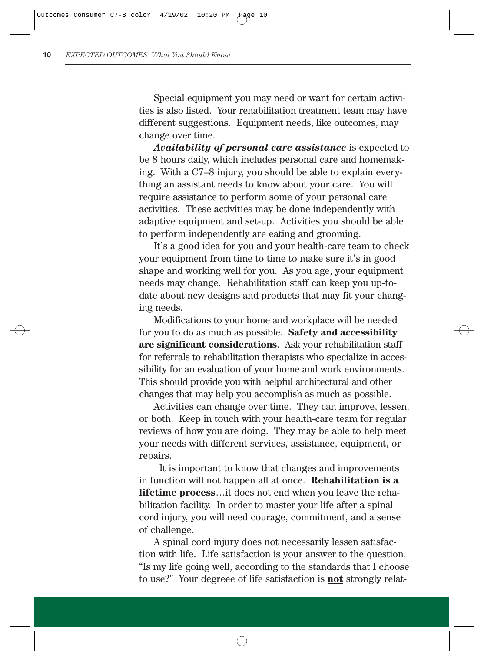Special equipment you may need or want for certain activities is also listed. Your rehabilitation treatment team may have different suggestions. Equipment needs, like outcomes, may change over time.

*Availability of personal care assistance* is expected to be 8 hours daily, which includes personal care and homemaking. With a C7–8 injury, you should be able to explain everything an assistant needs to know about your care. You will require assistance to perform some of your personal care activities. These activities may be done independently with adaptive equipment and set-up. Activities you should be able to perform independently are eating and grooming.

It's a good idea for you and your health-care team to check your equipment from time to time to make sure it's in good shape and working well for you. As you age, your equipment needs may change. Rehabilitation staff can keep you up-todate about new designs and products that may fit your changing needs.

Modifications to your home and workplace will be needed for you to do as much as possible. **Safety and accessibility are significant considerations**. Ask your rehabilitation staff for referrals to rehabilitation therapists who specialize in accessibility for an evaluation of your home and work environments. This should provide you with helpful architectural and other changes that may help you accomplish as much as possible.

Activities can change over time. They can improve, lessen, or both. Keep in touch with your health-care team for regular reviews of how you are doing. They may be able to help meet your needs with different services, assistance, equipment, or repairs.

It is important to know that changes and improvements in function will not happen all at once. **Rehabilitation is a lifetime process**…it does not end when you leave the rehabilitation facility. In order to master your life after a spinal cord injury, you will need courage, commitment, and a sense of challenge.

A spinal cord injury does not necessarily lessen satisfaction with life. Life satisfaction is your answer to the question, "Is my life going well, according to the standards that I choose to use?" Your degreee of life satisfaction is **not** strongly relat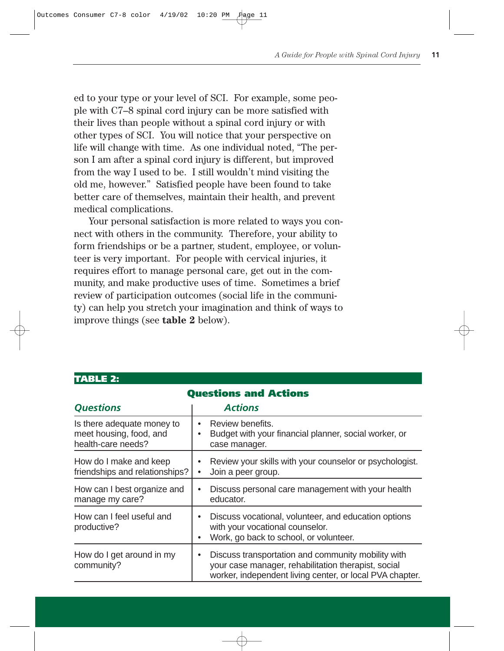ed to your type or your level of SCI. For example, some people with C7–8 spinal cord injury can be more satisfied with their lives than people without a spinal cord injury or with other types of SCI. You will notice that your perspective on life will change with time. As one individual noted, "The person I am after a spinal cord injury is different, but improved from the way I used to be. I still wouldn't mind visiting the old me, however." Satisfied people have been found to take better care of themselves, maintain their health, and prevent medical complications.

Your personal satisfaction is more related to ways you connect with others in the community. Therefore, your ability to form friendships or be a partner, student, employee, or volunteer is very important. For people with cervical injuries, it requires effort to manage personal care, get out in the community, and make productive uses of time. Sometimes a brief review of participation outcomes (social life in the community) can help you stretch your imagination and think of ways to improve things (see **table 2** below).

| <b>Questions and Actions</b>                                                |                                                                                                                                                                       |  |  |  |  |  |  |  |  |
|-----------------------------------------------------------------------------|-----------------------------------------------------------------------------------------------------------------------------------------------------------------------|--|--|--|--|--|--|--|--|
| <b>Questions</b>                                                            | <b>Actions</b>                                                                                                                                                        |  |  |  |  |  |  |  |  |
| Is there adequate money to<br>meet housing, food, and<br>health-care needs? | Review benefits.<br>Budget with your financial planner, social worker, or<br>case manager.                                                                            |  |  |  |  |  |  |  |  |
| How do I make and keep<br>friendships and relationships?                    | Review your skills with your counselor or psychologist.<br>Join a peer group.                                                                                         |  |  |  |  |  |  |  |  |
| How can I best organize and<br>manage my care?                              | Discuss personal care management with your health<br>educator.                                                                                                        |  |  |  |  |  |  |  |  |
| How can I feel useful and<br>productive?                                    | Discuss vocational, volunteer, and education options<br>with your vocational counselor.<br>Work, go back to school, or volunteer.                                     |  |  |  |  |  |  |  |  |
| How do I get around in my<br>community?                                     | Discuss transportation and community mobility with<br>your case manager, rehabilitation therapist, social<br>worker, independent living center, or local PVA chapter. |  |  |  |  |  |  |  |  |

#### **TABLE 2:**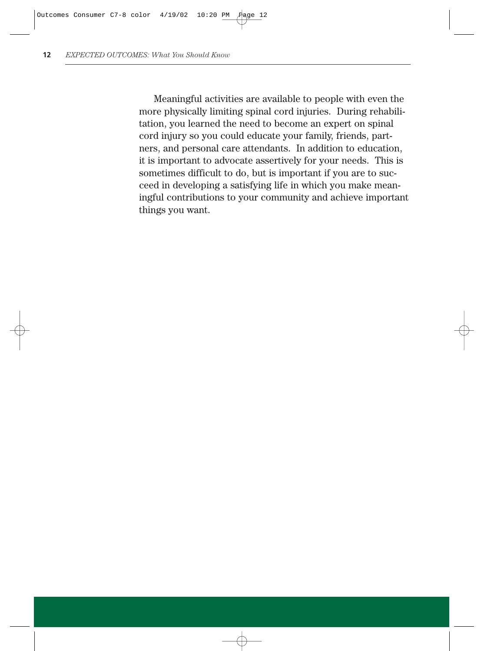Meaningful activities are available to people with even the more physically limiting spinal cord injuries. During rehabilitation, you learned the need to become an expert on spinal cord injury so you could educate your family, friends, partners, and personal care attendants. In addition to education, it is important to advocate assertively for your needs. This is sometimes difficult to do, but is important if you are to succeed in developing a satisfying life in which you make meaningful contributions to your community and achieve important things you want.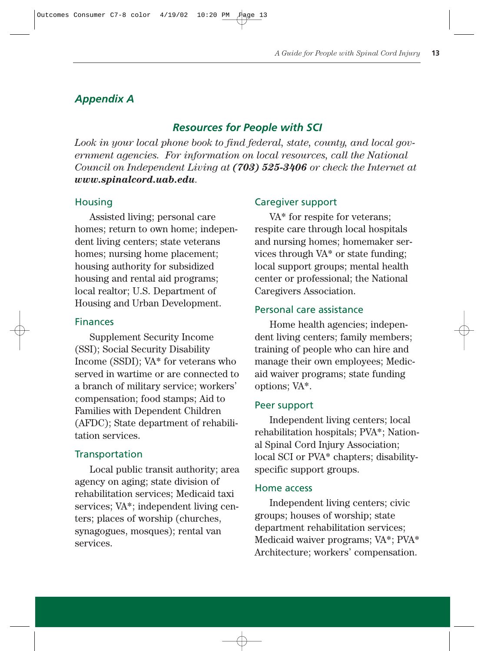## *Appendix A*

## *Resources for People with SCI*

*Look in your local phone book to find federal, state, county, and local government agencies. For information on local resources, call the National Council on Independent Living at (703) 525-3406 or check the Internet at www.spinalcord.uab.edu.*

#### Housing

Assisted living; personal care homes; return to own home; independent living centers; state veterans homes; nursing home placement; housing authority for subsidized housing and rental aid programs; local realtor; U.S. Department of Housing and Urban Development.

#### Finances

Supplement Security Income (SSI); Social Security Disability Income (SSDI); VA\* for veterans who served in wartime or are connected to a branch of military service; workers' compensation; food stamps; Aid to Families with Dependent Children (AFDC); State department of rehabilitation services.

#### **Transportation**

Local public transit authority; area agency on aging; state division of rehabilitation services; Medicaid taxi services; VA\*; independent living centers; places of worship (churches, synagogues, mosques); rental van services.

#### Caregiver support

VA\* for respite for veterans; respite care through local hospitals and nursing homes; homemaker services through VA\* or state funding; local support groups; mental health center or professional; the National Caregivers Association.

#### Personal care assistance

Home health agencies; independent living centers; family members; training of people who can hire and manage their own employees; Medicaid waiver programs; state funding options; VA\*.

#### Peer support

Independent living centers; local rehabilitation hospitals; PVA\*; National Spinal Cord Injury Association; local SCI or PVA\* chapters; disabilityspecific support groups.

#### Home access

Independent living centers; civic groups; houses of worship; state department rehabilitation services; Medicaid waiver programs; VA\*; PVA\* Architecture; workers' compensation.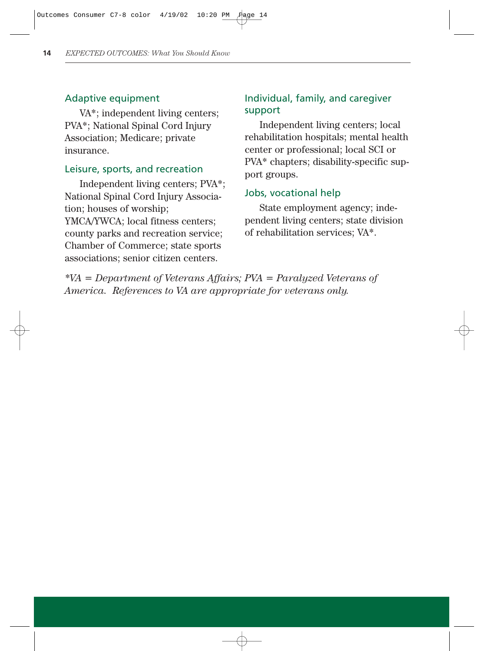#### Adaptive equipment

VA\*; independent living centers; PVA\*; National Spinal Cord Injury Association; Medicare; private insurance.

#### Leisure, sports, and recreation

Independent living centers; PVA\*; National Spinal Cord Injury Association; houses of worship; YMCA/YWCA; local fitness centers; county parks and recreation service; Chamber of Commerce; state sports associations; senior citizen centers.

## Individual, family, and caregiver support

Independent living centers; local rehabilitation hospitals; mental health center or professional; local SCI or PVA\* chapters; disability-specific support groups.

#### Jobs, vocational help

State employment agency; independent living centers; state division of rehabilitation services; VA\*.

*\*VA = Department of Veterans Affairs; PVA = Paralyzed Veterans of America. References to VA are appropriate for veterans only.*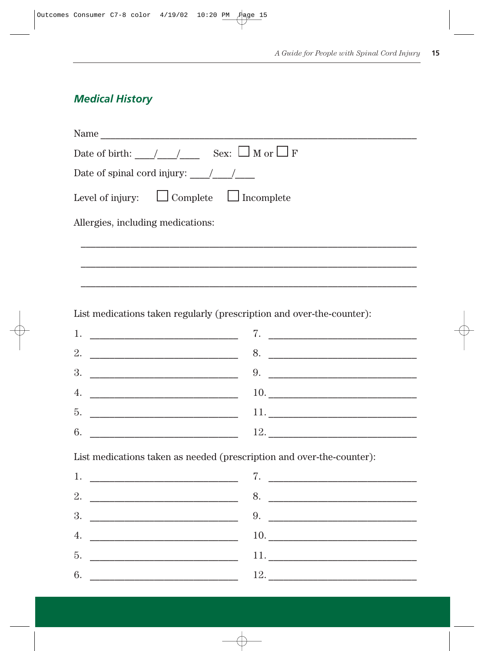## **Medical History**

| Name                                                                                                                                                                                                                                                                                                                                                                                                      |
|-----------------------------------------------------------------------------------------------------------------------------------------------------------------------------------------------------------------------------------------------------------------------------------------------------------------------------------------------------------------------------------------------------------|
| Date of birth: $\angle$ / $\angle$ Sex: $\Box$ M or $\Box$ F                                                                                                                                                                                                                                                                                                                                              |
| Date of spinal cord injury: $\frac{1}{\sqrt{1-\frac{1}{\sqrt{1-\frac{1}{\sqrt{1-\frac{1}{\sqrt{1-\frac{1}{\sqrt{1-\frac{1}{\sqrt{1-\frac{1}{\sqrt{1-\frac{1}{\sqrt{1-\frac{1}{\sqrt{1-\frac{1}{\sqrt{1-\frac{1}{\sqrt{1-\frac{1}{\sqrt{1-\frac{1}{\sqrt{1-\frac{1}{\sqrt{1-\frac{1}{\sqrt{1-\frac{1}{\sqrt{1-\frac{1}{\sqrt{1-\frac{1}{\sqrt{1-\frac{1}{\sqrt{1-\frac{1}{\sqrt{1-\frac{1}{\sqrt{1-\frac{$ |
| Level of injury: $\Box$ Complete $\Box$ Incomplete                                                                                                                                                                                                                                                                                                                                                        |
| Allergies, including medications:                                                                                                                                                                                                                                                                                                                                                                         |
|                                                                                                                                                                                                                                                                                                                                                                                                           |
|                                                                                                                                                                                                                                                                                                                                                                                                           |
|                                                                                                                                                                                                                                                                                                                                                                                                           |

List medications taken regularly (prescription and over-the-counter):

| 1. <u>_____________________________</u>                          |     |
|------------------------------------------------------------------|-----|
| 2.                                                               | 8.  |
|                                                                  | 9.  |
| 4.<br><u> 1980 - Jan Barbara, martin da kasar Amerika II.a (</u> |     |
| 5.                                                               | 11. |
| 6.                                                               | 12. |

List medications taken as needed (prescription and over-the-counter):

| 1. | <u> 1980 - Andrea Andrew Maria (h. 1980).</u> | 7.                  |
|----|-----------------------------------------------|---------------------|
| 2. |                                               | 8.                  |
| 3. |                                               | 9.                  |
| 4. |                                               |                     |
| 5. |                                               |                     |
| 6. |                                               | 12. $\qquad \qquad$ |
|    |                                               |                     |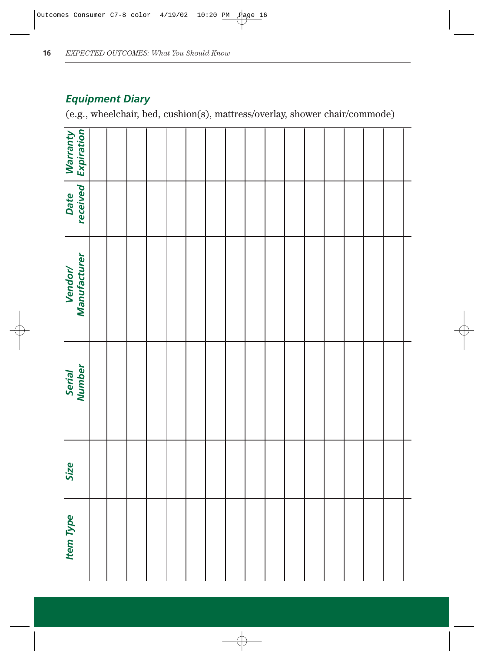## *Equipment Diary*

(e.g., wheelchair, bed, cushion(s), mattress/overlay, shower chair/commode)

| <b>Warranty</b><br>Expiration |  |  |  |  |  |  |  |  |  |
|-------------------------------|--|--|--|--|--|--|--|--|--|
| Date<br>received              |  |  |  |  |  |  |  |  |  |
| Vendor/<br>Manufacturer       |  |  |  |  |  |  |  |  |  |
| Serial<br>Number              |  |  |  |  |  |  |  |  |  |
| Size                          |  |  |  |  |  |  |  |  |  |
| <b>Item Type</b>              |  |  |  |  |  |  |  |  |  |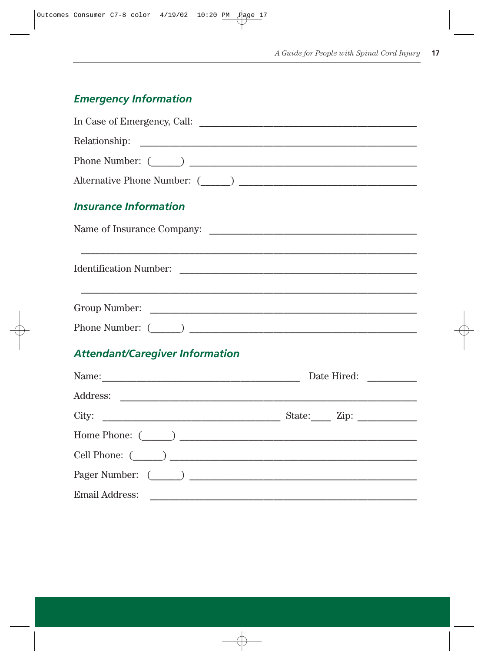## **Emergency Information**

| In Case of Emergency, Call: $\overline{\phantom{a}}$ |             |
|------------------------------------------------------|-------------|
|                                                      |             |
|                                                      |             |
| Alternative Phone Number: $(\_\_)$                   |             |
| <b>Insurance Information</b>                         |             |
| Name of Insurance Company:                           |             |
|                                                      |             |
|                                                      |             |
|                                                      |             |
| <b>Attendant/Caregiver Information</b>               |             |
|                                                      | Date Hired: |
|                                                      |             |
|                                                      |             |
|                                                      |             |
|                                                      |             |
|                                                      |             |
| Email Address:                                       |             |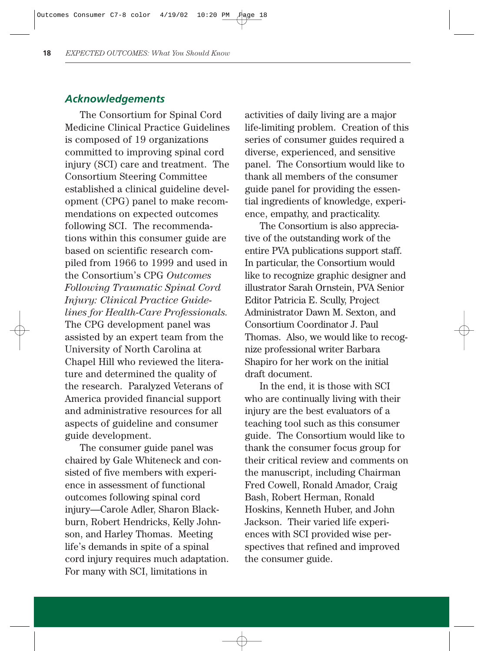#### *Acknowledgements*

The Consortium for Spinal Cord Medicine Clinical Practice Guidelines is composed of 19 organizations committed to improving spinal cord injury (SCI) care and treatment. The Consortium Steering Committee established a clinical guideline development (CPG) panel to make recommendations on expected outcomes following SCI. The recommendations within this consumer guide are based on scientific research compiled from 1966 to 1999 and used in the Consortium's CPG *Outcomes Following Traumatic Spinal Cord Injury: Clinical Practice Guidelines for Health-Care Professionals.* The CPG development panel was assisted by an expert team from the University of North Carolina at Chapel Hill who reviewed the literature and determined the quality of the research. Paralyzed Veterans of America provided financial support and administrative resources for all aspects of guideline and consumer guide development.

The consumer guide panel was chaired by Gale Whiteneck and consisted of five members with experience in assessment of functional outcomes following spinal cord injury—Carole Adler, Sharon Blackburn, Robert Hendricks, Kelly Johnson, and Harley Thomas. Meeting life's demands in spite of a spinal cord injury requires much adaptation. For many with SCI, limitations in

activities of daily living are a major life-limiting problem. Creation of this series of consumer guides required a diverse, experienced, and sensitive panel. The Consortium would like to thank all members of the consumer guide panel for providing the essential ingredients of knowledge, experience, empathy, and practicality.

The Consortium is also appreciative of the outstanding work of the entire PVA publications support staff. In particular, the Consortium would like to recognize graphic designer and illustrator Sarah Ornstein, PVA Senior Editor Patricia E. Scully, Project Administrator Dawn M. Sexton, and Consortium Coordinator J. Paul Thomas. Also, we would like to recognize professional writer Barbara Shapiro for her work on the initial draft document.

In the end, it is those with SCI who are continually living with their injury are the best evaluators of a teaching tool such as this consumer guide. The Consortium would like to thank the consumer focus group for their critical review and comments on the manuscript, including Chairman Fred Cowell, Ronald Amador, Craig Bash, Robert Herman, Ronald Hoskins, Kenneth Huber, and John Jackson. Their varied life experiences with SCI provided wise perspectives that refined and improved the consumer guide.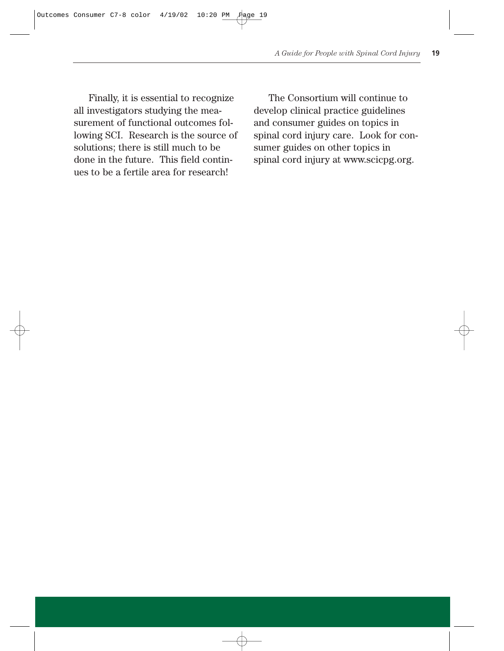Finally, it is essential to recognize all investigators studying the measurement of functional outcomes following SCI. Research is the source of solutions; there is still much to be done in the future. This field continues to be a fertile area for research!

The Consortium will continue to develop clinical practice guidelines and consumer guides on topics in spinal cord injury care. Look for consumer guides on other topics in spinal cord injury at www.scicpg.org.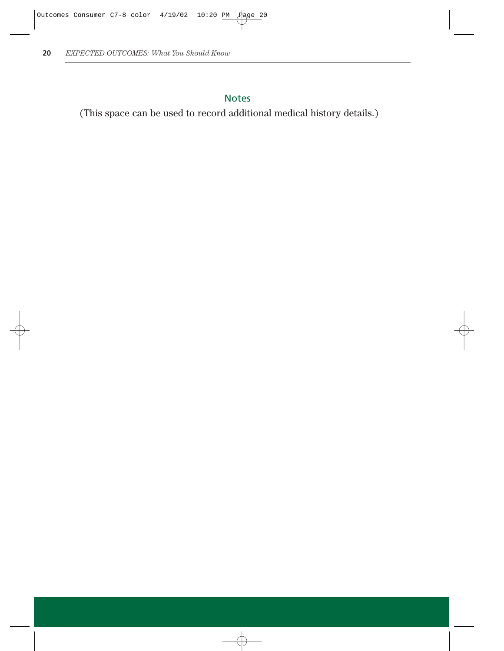## Notes

(This space can be used to record additional medical history details.)